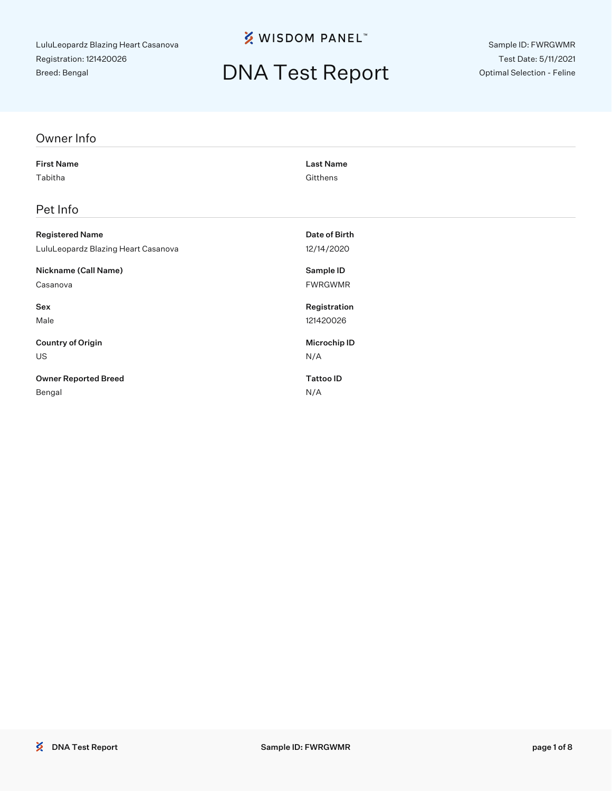### **% WISDOM PANEL**™

## DNA Test Report

Sample ID: FWRGWMR Test Date: 5/11/2021 Optimal Selection - Feline

#### Owner Info

First Name Last Name Tabitha Gitthens

#### Pet Info

| <b>Registered Name</b>              | Date of Birth  |
|-------------------------------------|----------------|
| LuluLeopardz Blazing Heart Casanova | 12/14/2020     |
| Nickname (Call Name)                | Sample ID      |
| Casanova                            | <b>FWRGWMR</b> |
| Sex                                 | Registration   |
| Male                                | 121420026      |
| <b>Country of Origin</b>            | Microchip ID   |
| <b>US</b>                           | N/A            |
| <b>Owner Reported Breed</b>         | Tattoo ID      |
| Bengal                              | N/A            |

**EXAMPLE ID: FWRGWMR**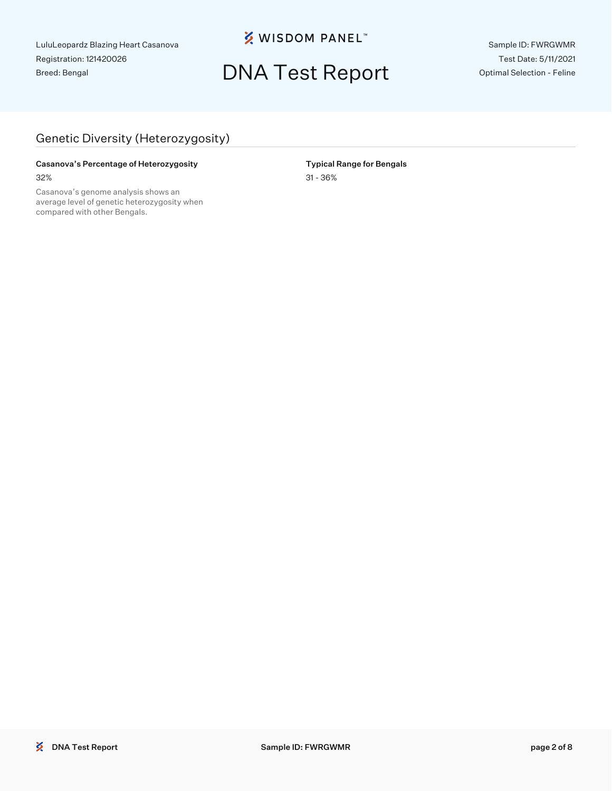**※ WISDOM PANEL**™

## DNA Test Report

Sample ID: FWRGWMR Test Date: 5/11/2021 Optimal Selection - Feline

### Genetic Diversity (Heterozygosity)

#### Casanova's Percentage of Heterozygosity **Typical Range for Bengals** 32% 31 - 36%

Casanova's genome analysis shows an average level of genetic heterozygosity when compared with other Bengals.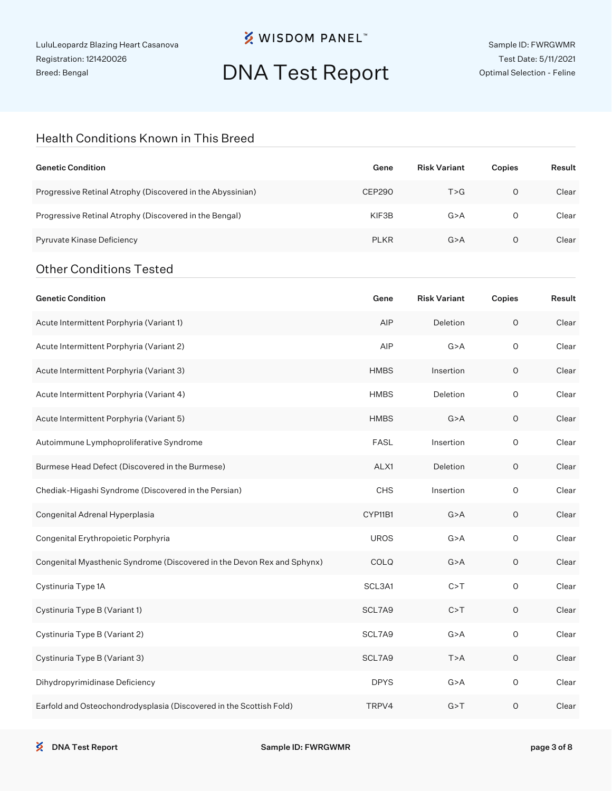## **※ WISDOM PANEL**™

# DNA Test Report

#### Health Conditions Known in This Breed

| <b>Genetic Condition</b>                                                | Gene          | <b>Risk Variant</b> | Copies      | Result |
|-------------------------------------------------------------------------|---------------|---------------------|-------------|--------|
| Progressive Retinal Atrophy (Discovered in the Abyssinian)              | <b>CEP290</b> | T > G               | $\circ$     | Clear  |
| Progressive Retinal Atrophy (Discovered in the Bengal)                  | KIF3B         | G > A               | 0           | Clear  |
| Pyruvate Kinase Deficiency                                              | <b>PLKR</b>   | G > A               | 0           | Clear  |
| <b>Other Conditions Tested</b>                                          |               |                     |             |        |
| <b>Genetic Condition</b>                                                | Gene          | <b>Risk Variant</b> | Copies      | Result |
| Acute Intermittent Porphyria (Variant 1)                                | AIP           | Deletion            | $\mathsf O$ | Clear  |
| Acute Intermittent Porphyria (Variant 2)                                | AIP           | G > A               | $\circ$     | Clear  |
| Acute Intermittent Porphyria (Variant 3)                                | <b>HMBS</b>   | Insertion           | $\mathsf O$ | Clear  |
| Acute Intermittent Porphyria (Variant 4)                                | <b>HMBS</b>   | Deletion            | $\circ$     | Clear  |
| Acute Intermittent Porphyria (Variant 5)                                | <b>HMBS</b>   | G > A               | O           | Clear  |
| Autoimmune Lymphoproliferative Syndrome                                 | <b>FASL</b>   | Insertion           | $\circ$     | Clear  |
| Burmese Head Defect (Discovered in the Burmese)                         | ALX1          | Deletion            | 0           | Clear  |
| Chediak-Higashi Syndrome (Discovered in the Persian)                    | CHS           | Insertion           | $\circ$     | Clear  |
| Congenital Adrenal Hyperplasia                                          | CYP11B1       | G > A               | 0           | Clear  |
| Congenital Erythropoietic Porphyria                                     | <b>UROS</b>   | G > A               | $\circ$     | Clear  |
| Congenital Myasthenic Syndrome (Discovered in the Devon Rex and Sphynx) | COLQ          | G > A               | O           | Clear  |
| Cystinuria Type 1A                                                      | SCL3A1        | C > T               | O           | Clear  |
| Cystinuria Type B (Variant 1)                                           | SCL7A9        | C > T               | $\mathsf O$ | Clear  |
| Cystinuria Type B (Variant 2)                                           | SCL7A9        | G > A               | $\mathsf O$ | Clear  |
| Cystinuria Type B (Variant 3)                                           | SCL7A9        | T>A                 | $\mathsf O$ | Clear  |
| Dihydropyrimidinase Deficiency                                          | <b>DPYS</b>   | G > A               | $\mathsf O$ | Clear  |
| Earfold and Osteochondrodysplasia (Discovered in the Scottish Fold)     | TRPV4         | G > T               | $\mathsf O$ | Clear  |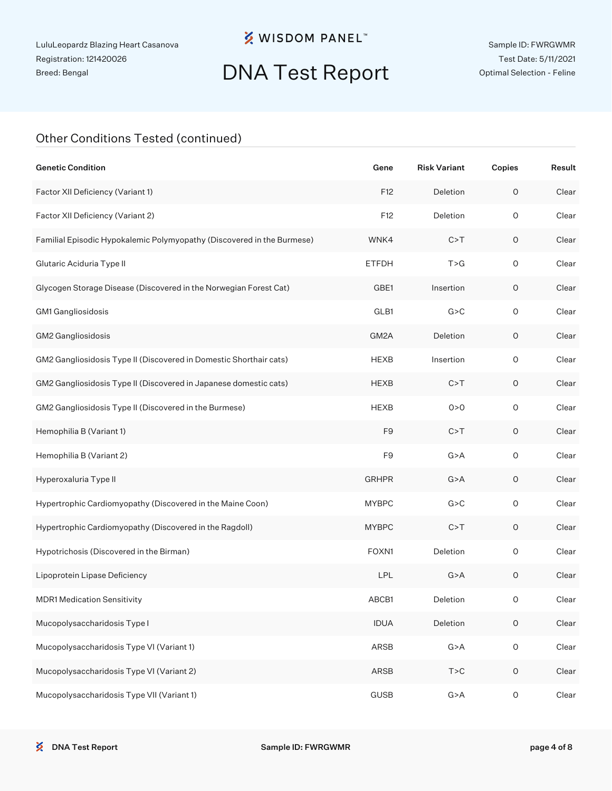## **※ WISDOM PANEL**™

# DNA Test Report

#### Other Conditions Tested (continued)

| <b>Genetic Condition</b>                                               | Gene           | <b>Risk Variant</b> | Copies              | Result |
|------------------------------------------------------------------------|----------------|---------------------|---------------------|--------|
| Factor XII Deficiency (Variant 1)                                      | F12            | Deletion            | $\mathsf O$         | Clear  |
| Factor XII Deficiency (Variant 2)                                      | F12            | Deletion            | $\circ$             | Clear  |
| Familial Episodic Hypokalemic Polymyopathy (Discovered in the Burmese) | WNK4           | C > T               | $\mathsf O$         | Clear  |
| Glutaric Aciduria Type II                                              | <b>ETFDH</b>   | T > G               | $\circ$             | Clear  |
| Glycogen Storage Disease (Discovered in the Norwegian Forest Cat)      | GBE1           | Insertion           | 0                   | Clear  |
| GM1 Gangliosidosis                                                     | GLB1           | G > C               | $\circ$             | Clear  |
| GM2 Gangliosidosis                                                     | GM2A           | Deletion            | $\mathsf O$         | Clear  |
| GM2 Gangliosidosis Type II (Discovered in Domestic Shorthair cats)     | <b>HEXB</b>    | Insertion           | $\circ$             | Clear  |
| GM2 Gangliosidosis Type II (Discovered in Japanese domestic cats)      | <b>HEXB</b>    | C > T               | $\mathsf O$         | Clear  |
| GM2 Gangliosidosis Type II (Discovered in the Burmese)                 | <b>HEXB</b>    | 0 > 0               | $\circ$             | Clear  |
| Hemophilia B (Variant 1)                                               | F <sub>9</sub> | C > T               | $\mathsf O$         | Clear  |
| Hemophilia B (Variant 2)                                               | F <sub>9</sub> | G > A               | $\circ$             | Clear  |
| Hyperoxaluria Type II                                                  | <b>GRHPR</b>   | G > A               | $\mathsf O$         | Clear  |
| Hypertrophic Cardiomyopathy (Discovered in the Maine Coon)             | <b>MYBPC</b>   | G > C               | $\circ$             | Clear  |
| Hypertrophic Cardiomyopathy (Discovered in the Ragdoll)                | <b>MYBPC</b>   | C > T               | $\mathsf O$         | Clear  |
| Hypotrichosis (Discovered in the Birman)                               | FOXN1          | Deletion            | $\circ$             | Clear  |
| Lipoprotein Lipase Deficiency                                          | LPL            | G > A               | $\mathsf O$         | Clear  |
| <b>MDR1 Medication Sensitivity</b>                                     | ABCB1          | Deletion            | 0                   | Clear  |
| Mucopolysaccharidosis Type I                                           | <b>IDUA</b>    | Deletion            | $\mathsf O$         | Clear  |
| Mucopolysaccharidosis Type VI (Variant 1)                              | ARSB           | G > A               | $\mathsf{O}\xspace$ | Clear  |
| Mucopolysaccharidosis Type VI (Variant 2)                              | ARSB           | $T>C$               | $\mathsf O$         | Clear  |
| Mucopolysaccharidosis Type VII (Variant 1)                             | <b>GUSB</b>    | G > A               | $\mathsf O$         | Clear  |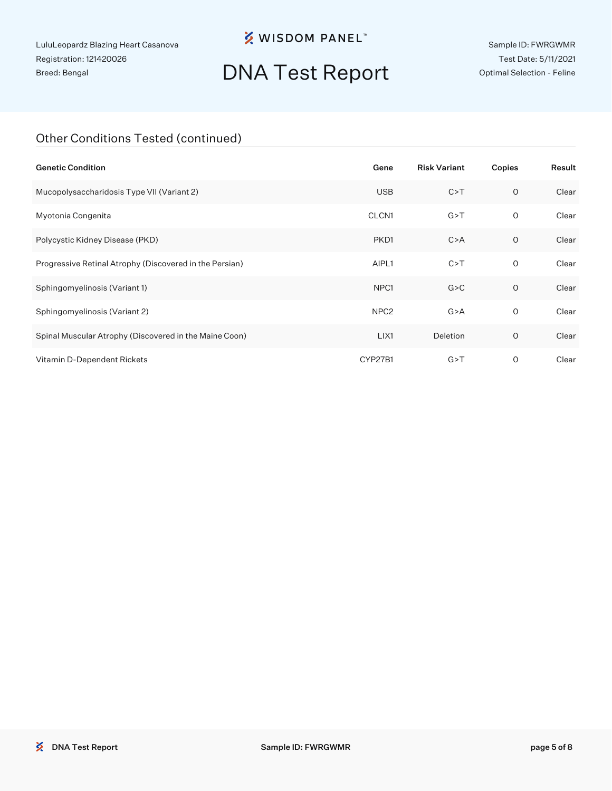## **※ WISDOM PANEL**™

# DNA Test Report

Sample ID: FWRGWMR Test Date: 5/11/2021 Optimal Selection - Feline

#### Other Conditions Tested (continued)

| <b>Genetic Condition</b>                                | Gene              | <b>Risk Variant</b> | Copies  | Result |
|---------------------------------------------------------|-------------------|---------------------|---------|--------|
| Mucopolysaccharidosis Type VII (Variant 2)              | <b>USB</b>        | C > T               | $\circ$ | Clear  |
| Myotonia Congenita                                      | CLCN <sub>1</sub> | G > T               | O       | Clear  |
| Polycystic Kidney Disease (PKD)                         | PKD <sub>1</sub>  | C > A               | $\circ$ | Clear  |
| Progressive Retinal Atrophy (Discovered in the Persian) | AIPL1             | C > T               | 0       | Clear  |
| Sphingomyelinosis (Variant 1)                           | NPC <sub>1</sub>  | G > C               | $\circ$ | Clear  |
| Sphingomyelinosis (Variant 2)                           | NPC <sub>2</sub>  | G > A               | 0       | Clear  |
| Spinal Muscular Atrophy (Discovered in the Maine Coon)  | LIX1              | Deletion            | $\circ$ | Clear  |
| Vitamin D-Dependent Rickets                             | CYP27B1           | G > T               | O       | Clear  |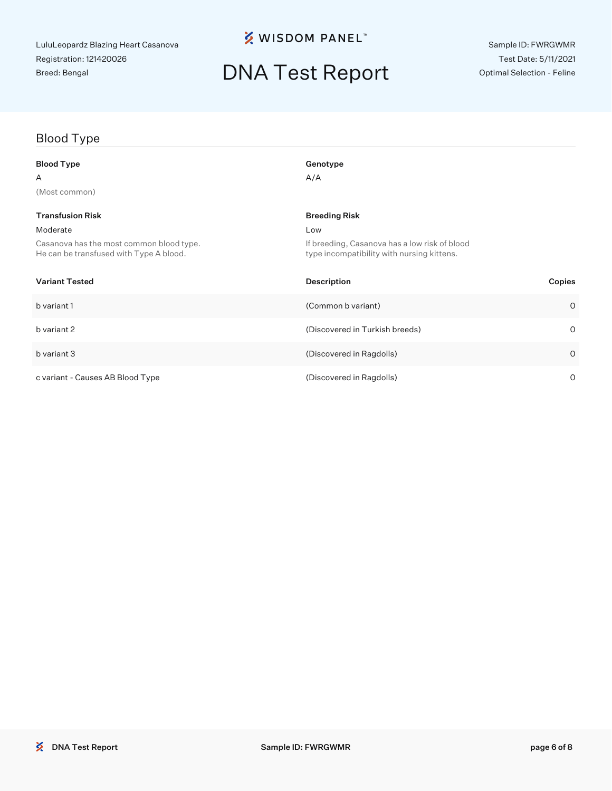## **※ WISDOM PANEL**™

# DNA Test Report

### Blood Type

| <b>Blood Type</b>                                                                   | Genotype                                                                                    |         |
|-------------------------------------------------------------------------------------|---------------------------------------------------------------------------------------------|---------|
| A                                                                                   | A/A                                                                                         |         |
| (Most common)                                                                       |                                                                                             |         |
| <b>Transfusion Risk</b>                                                             | <b>Breeding Risk</b>                                                                        |         |
| Moderate                                                                            | Low                                                                                         |         |
| Casanova has the most common blood type.<br>He can be transfused with Type A blood. | If breeding, Casanova has a low risk of blood<br>type incompatibility with nursing kittens. |         |
| <b>Variant Tested</b>                                                               | <b>Description</b><br>Copies                                                                |         |
| b variant 1                                                                         | (Common b variant)                                                                          | $\circ$ |
| b variant 2                                                                         | (Discovered in Turkish breeds)                                                              | $\circ$ |
| b variant 3                                                                         | (Discovered in Ragdolls)                                                                    | $\circ$ |
| c variant - Causes AB Blood Type                                                    | (Discovered in Ragdolls)                                                                    | $\circ$ |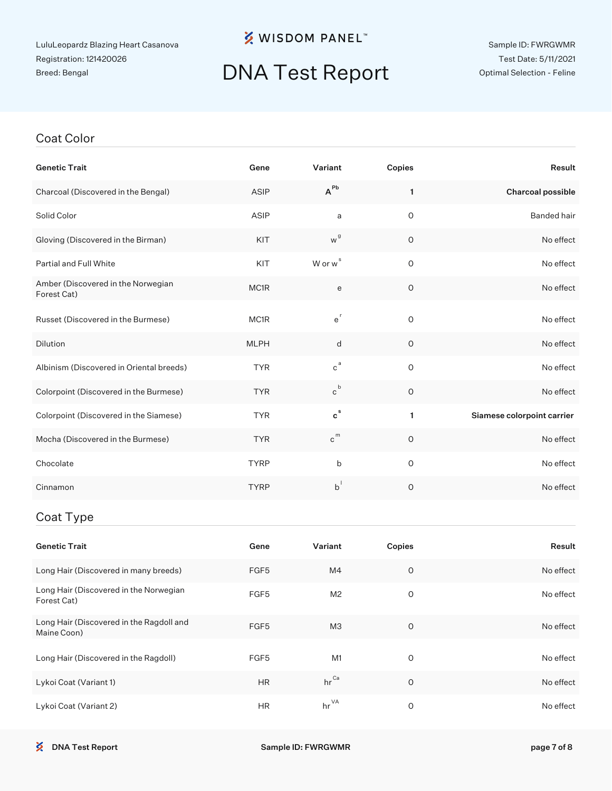## **※ WISDOM PANEL**™

# DNA Test Report

#### Coat Color

| <b>Genetic Trait</b>                                  | Gene        | Variant             | Copies      | Result                     |
|-------------------------------------------------------|-------------|---------------------|-------------|----------------------------|
| Charcoal (Discovered in the Bengal)                   | ASIP        | $A^{Pb}$            | 1           | Charcoal possible          |
| Solid Color                                           | ASIP        | a                   | $\mathsf O$ | <b>Banded hair</b>         |
| Gloving (Discovered in the Birman)                    | KIT         | w <sup>g</sup>      | $\circ$     | No effect                  |
| Partial and Full White                                | KIT         | W or w <sup>s</sup> | $\circ$     | No effect                  |
| Amber (Discovered in the Norwegian<br>Forest Cat)     | MC1R        | e                   | $\circ$     | No effect                  |
| Russet (Discovered in the Burmese)                    | MC1R        | $e^{r}$             | $\mathsf O$ | No effect                  |
| Dilution                                              | <b>MLPH</b> | d                   | $\mathsf O$ | No effect                  |
| Albinism (Discovered in Oriental breeds)              | <b>TYR</b>  | $c^a$               | $\circ$     | No effect                  |
| Colorpoint (Discovered in the Burmese)                | <b>TYR</b>  | $c^b$               | O           | No effect                  |
| Colorpoint (Discovered in the Siamese)                | <b>TYR</b>  | $c^s$               | 1           | Siamese colorpoint carrier |
| Mocha (Discovered in the Burmese)                     | <b>TYR</b>  | $c^{m}$             | $\circ$     | No effect                  |
| Chocolate                                             | <b>TYRP</b> | b                   | O           | No effect                  |
| Cinnamon                                              | <b>TYRP</b> | $b^{\dagger}$       | $\circ$     | No effect                  |
| Coat Type                                             |             |                     |             |                            |
| <b>Genetic Trait</b>                                  | Gene        | Variant             | Copies      | Result                     |
| Long Hair (Discovered in many breeds)                 | FGF5        | M4                  | O           | No effect                  |
| Long Hair (Discovered in the Norwegian<br>Forest Cat) | FGF5        | M <sub>2</sub>      | $\mathsf O$ | No effect                  |
| Long Hair (Discovered in the Ragdoll and              | <b>COLE</b> | $\mathbf{A}$        | $\bigcap$   | $N = 4$                    |

| Long Hair (Discovered in the Ragdon and<br>Maine Coon) | FGF <sub>5</sub> | MЗ               | No effect |
|--------------------------------------------------------|------------------|------------------|-----------|
| Long Hair (Discovered in the Ragdoll)                  | FGF5             | M1               | No effect |
| Lykoi Coat (Variant 1)                                 | <b>HR</b>        | hr <sup>Ca</sup> | No effect |
| Lykoi Coat (Variant 2)                                 | <b>HR</b>        | $hr^{\vee A}$    | No effect |